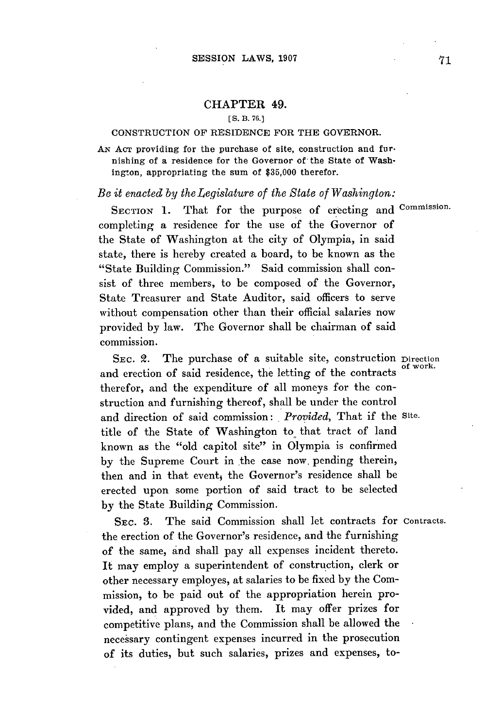## **CHAPTER 49.**

## **[S.** B. **76.]**

## CONSTRUCTION OF RESIDENCE FOR THE GOVERNOR.

**AN AcT** providing for the purchase of site, construction and furnishing of a residence for the Governor of the State of Washington, appropriating the sum of **\$35,000** therefor.

## *Be it enacted by theLegislature of the State of Washington:*

SECTION 1. That for the purpose of erecting and Commission. completing a residence for the use **of** the Governor of the State of Washington at the city of Olympia, in said state, there is hereby created a board, to be known as the "State Building Commission." Said commission shall consist of three members, to be composed of the Governor, State Treasurer and State Auditor, said officers to serve without compensation other than their official salaries now provided **by** law. The Governor shall be chairman of said commission.

SEC. 2. The purchase of a suitable site, construction Direction and erection of said residence, the letting of the contracts therefor, and the expenditure of all moneys for the construction and furnishing thereof, shall be under the control and direction of said commission: *Provided,* That if the Site. title of the State of Washington to that tract of land known as the "old capitol site" in Olympia is confirmed **by** the Supreme Court in the case now, pending therein, then and in that event, the Governor's residence shall be erected upon some portion of said tract to be selected **by** the State Building Commission.

**SEC. 3.** The said Commission shall let contracts for Contracts. the erection of the Governor's residence, and the furnishing of the same, and shall pay all expenses incident thereto. It may employ a superintendent of construction, clerk or other necessary employes, at salaries to be fixed **by** the Commission, to be paid out of the appropriation herein provided, and approved **by** them. It may offer prizes for competitive plans, and the Commission shall be allowed the necessary contingent expenses incurred in the prosecution of its duties, but such salaries, prizes and expenses, to-

of work.